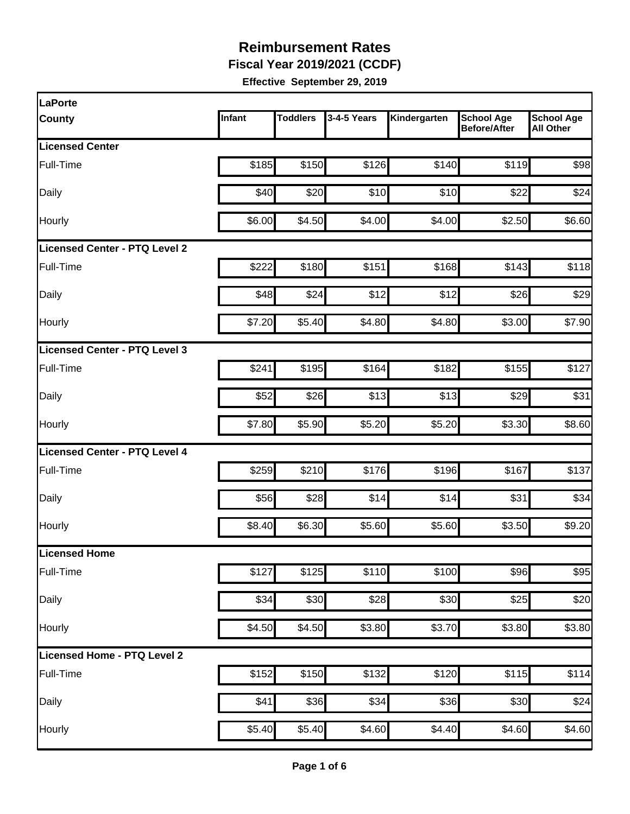**Fiscal Year 2019/2021 (CCDF)** 

| LaPorte                              |        |                 |             |              |                                          |                                       |
|--------------------------------------|--------|-----------------|-------------|--------------|------------------------------------------|---------------------------------------|
| <b>County</b>                        | Infant | <b>Toddlers</b> | 3-4-5 Years | Kindergarten | <b>School Age</b><br><b>Before/After</b> | <b>School Age</b><br><b>All Other</b> |
| <b>Licensed Center</b>               |        |                 |             |              |                                          |                                       |
| Full-Time                            | \$185  | \$150           | \$126       | \$140        | \$119                                    | \$98                                  |
| Daily                                | \$40   | \$20            | \$10        | \$10         | \$22                                     | \$24                                  |
| Hourly                               | \$6.00 | \$4.50          | \$4.00      | \$4.00       | \$2.50                                   | \$6.60                                |
| <b>Licensed Center - PTQ Level 2</b> |        |                 |             |              |                                          |                                       |
| Full-Time                            | \$222  | \$180           | \$151       | \$168        | \$143                                    | \$118                                 |
| Daily                                | \$48   | \$24            | \$12        | \$12         | \$26                                     | \$29                                  |
| Hourly                               | \$7.20 | \$5.40          | \$4.80      | \$4.80       | \$3.00                                   | \$7.90                                |
| Licensed Center - PTQ Level 3        |        |                 |             |              |                                          |                                       |
| Full-Time                            | \$241  | \$195           | \$164       | \$182        | \$155                                    | \$127                                 |
| Daily                                | \$52   | \$26            | \$13        | \$13         | \$29                                     | \$31                                  |
| Hourly                               | \$7.80 | \$5.90          | \$5.20      | \$5.20       | \$3.30                                   | \$8.60                                |
| <b>Licensed Center - PTQ Level 4</b> |        |                 |             |              |                                          |                                       |
| Full-Time                            | \$259  | \$210           | \$176       | \$196        | \$167                                    | \$137                                 |
| Daily                                | \$56   | \$28            | \$14        | \$14         | \$31                                     | \$34                                  |
| Hourly                               | \$8.40 | \$6.30          | \$5.60      | \$5.60       | \$3.50                                   | \$9.20                                |
| Licensed Home                        |        |                 |             |              |                                          |                                       |
| Full-Time                            | \$127  | \$125           | \$110       | \$100        | \$96                                     | \$95                                  |
| Daily                                | \$34   | \$30            | \$28        | \$30         | \$25                                     | \$20                                  |
| Hourly                               | \$4.50 | \$4.50          | \$3.80      | \$3.70       | \$3.80                                   | \$3.80                                |
| Licensed Home - PTQ Level 2          |        |                 |             |              |                                          |                                       |
| Full-Time                            | \$152  | \$150           | \$132       | \$120        | \$115                                    | \$114                                 |
| Daily                                | \$41   | \$36            | \$34        | \$36         | \$30                                     | \$24                                  |
| Hourly                               | \$5.40 | \$5.40          | \$4.60      | \$4.40       | \$4.60                                   | \$4.60                                |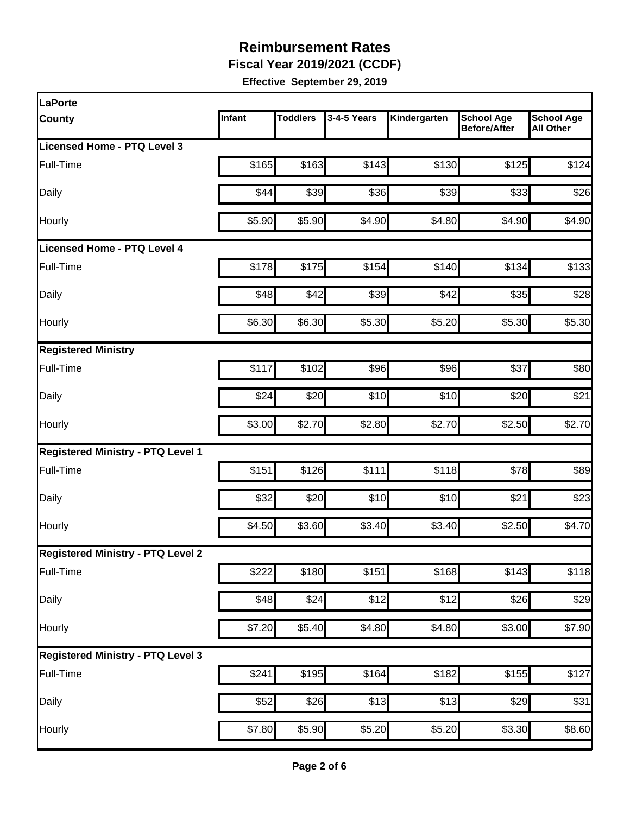**Fiscal Year 2019/2021 (CCDF)** 

| LaPorte                                  |        |                 |                  |                    |                                          |                                       |
|------------------------------------------|--------|-----------------|------------------|--------------------|------------------------------------------|---------------------------------------|
| <b>County</b>                            | Infant | <b>Toddlers</b> | 3-4-5 Years      | Kindergarten       | <b>School Age</b><br><b>Before/After</b> | <b>School Age</b><br><b>All Other</b> |
| Licensed Home - PTQ Level 3              |        |                 |                  |                    |                                          |                                       |
| Full-Time                                | \$165  | \$163           | \$143            | \$130              | \$125                                    | \$124                                 |
| Daily                                    | \$44   | \$39            | \$36             | \$39               | \$33                                     | \$26                                  |
| Hourly                                   | \$5.90 | \$5.90          | \$4.90           | \$4.80             | \$4.90                                   | \$4.90                                |
| Licensed Home - PTQ Level 4              |        |                 |                  |                    |                                          |                                       |
| Full-Time                                | \$178  | \$175           | \$154            | \$140              | \$134                                    | \$133                                 |
| Daily                                    | \$48   | \$42            | \$39             | \$42               | \$35                                     | \$28                                  |
| Hourly                                   | \$6.30 | \$6.30          | \$5.30           | \$5.20             | \$5.30                                   | \$5.30                                |
| <b>Registered Ministry</b>               |        |                 |                  |                    |                                          |                                       |
| Full-Time                                | \$117  | \$102           | \$96             | \$96               | \$37                                     | \$80                                  |
| Daily                                    | \$24   | \$20            | \$10             | \$10               | \$20                                     | \$21                                  |
| Hourly                                   | \$3.00 | \$2.70          | \$2.80           | \$2.70             | \$2.50                                   | \$2.70                                |
| <b>Registered Ministry - PTQ Level 1</b> |        |                 |                  |                    |                                          |                                       |
| Full-Time                                | \$151  | \$126           | \$111            | \$118              | \$78                                     | \$89                                  |
| Daily                                    | \$32   | \$20            | \$10             | \$10               | \$21                                     | \$23                                  |
| Hourly                                   | \$4.50 | \$3.60          | \$3.40           | \$3.40             | \$2.50                                   | \$4.70                                |
| <b>Registered Ministry - PTQ Level 2</b> |        |                 |                  |                    |                                          |                                       |
| Full-Time                                | \$222  | \$180           | \$151            | \$168              | \$143                                    | \$118                                 |
| Daily                                    | \$48   | \$24            | $\overline{$}12$ | \$12               | \$26                                     | \$29                                  |
| Hourly                                   | \$7.20 | \$5.40          | \$4.80           | \$4.80             | \$3.00                                   | \$7.90                                |
| <b>Registered Ministry - PTQ Level 3</b> |        |                 |                  |                    |                                          |                                       |
| Full-Time                                | \$241  | \$195           | \$164            | \$182              | \$155                                    | \$127                                 |
| Daily                                    | \$52   | \$26            | \$13             | \$13               | \$29                                     | \$31                                  |
| Hourly                                   | \$7.80 | \$5.90          | \$5.20           | $\overline{$}5.20$ | \$3.30                                   | \$8.60                                |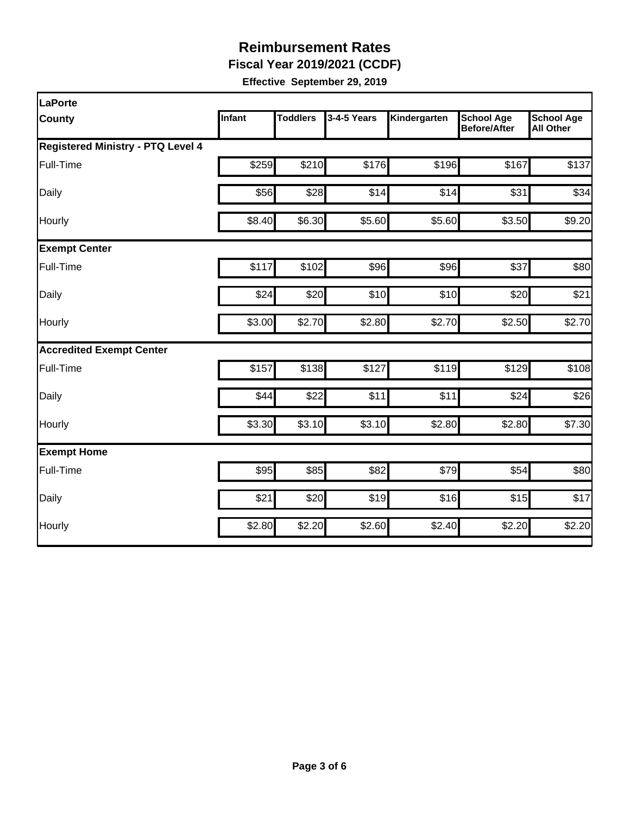**Fiscal Year 2019/2021 (CCDF)** 

| LaPorte                                  |        |                 |             |              |                                          |                                       |
|------------------------------------------|--------|-----------------|-------------|--------------|------------------------------------------|---------------------------------------|
| <b>County</b>                            | Infant | <b>Toddlers</b> | 3-4-5 Years | Kindergarten | <b>School Age</b><br><b>Before/After</b> | <b>School Age</b><br><b>All Other</b> |
| <b>Registered Ministry - PTQ Level 4</b> |        |                 |             |              |                                          |                                       |
| Full-Time                                | \$259  | \$210           | \$176       | \$196        | \$167                                    | \$137                                 |
| Daily                                    | \$56   | \$28            | \$14        | \$14         | \$31                                     | \$34                                  |
| Hourly                                   | \$8.40 | \$6.30          | \$5.60      | \$5.60       | \$3.50                                   | \$9.20                                |
| <b>Exempt Center</b>                     |        |                 |             |              |                                          |                                       |
| Full-Time                                | \$117  | \$102           | \$96        | \$96         | \$37                                     | \$80                                  |
| Daily                                    | \$24   | \$20            | \$10        | \$10         | \$20                                     | \$21                                  |
| Hourly                                   | \$3.00 | \$2.70          | \$2.80      | \$2.70       | \$2.50                                   | \$2.70                                |
| <b>Accredited Exempt Center</b>          |        |                 |             |              |                                          |                                       |
| Full-Time                                | \$157  | \$138           | \$127       | \$119        | \$129                                    | \$108                                 |
| Daily                                    | \$44   | \$22            | \$11        | \$11         | \$24                                     | \$26                                  |
| Hourly                                   | \$3.30 | \$3.10          | \$3.10      | \$2.80       | \$2.80                                   | \$7.30                                |
| <b>Exempt Home</b>                       |        |                 |             |              |                                          |                                       |
| Full-Time                                | \$95   | \$85            | \$82        | \$79         | \$54                                     | \$80                                  |
| Daily                                    | \$21   | \$20            | \$19        | \$16         | \$15                                     | \$17                                  |
| Hourly                                   | \$2.80 | \$2.20          | \$2.60      | \$2.40       | \$2.20                                   | \$2.20                                |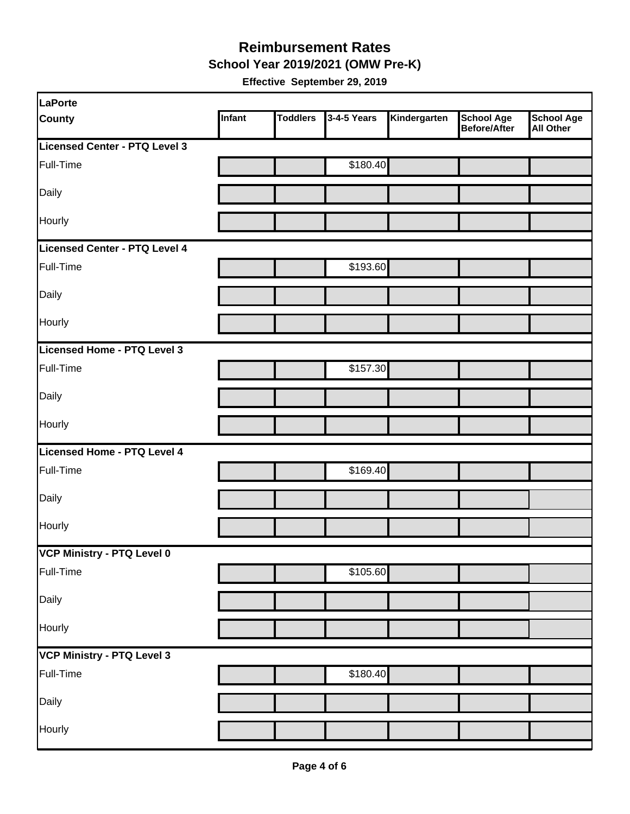**School Year 2019/2021 (OMW Pre-K)** 

| LaPorte                       |        |                 |             |              |                                          |                         |
|-------------------------------|--------|-----------------|-------------|--------------|------------------------------------------|-------------------------|
| <b>County</b>                 | Infant | <b>Toddlers</b> | 3-4-5 Years | Kindergarten | <b>School Age</b><br><b>Before/After</b> | School Age<br>All Other |
| Licensed Center - PTQ Level 3 |        |                 |             |              |                                          |                         |
| Full-Time                     |        |                 | \$180.40    |              |                                          |                         |
| Daily                         |        |                 |             |              |                                          |                         |
| Hourly                        |        |                 |             |              |                                          |                         |
| Licensed Center - PTQ Level 4 |        |                 |             |              |                                          |                         |
| Full-Time                     |        |                 | \$193.60    |              |                                          |                         |
| Daily                         |        |                 |             |              |                                          |                         |
| Hourly                        |        |                 |             |              |                                          |                         |
| Licensed Home - PTQ Level 3   |        |                 |             |              |                                          |                         |
| Full-Time                     |        |                 | \$157.30    |              |                                          |                         |
| Daily                         |        |                 |             |              |                                          |                         |
| Hourly                        |        |                 |             |              |                                          |                         |
| Licensed Home - PTQ Level 4   |        |                 |             |              |                                          |                         |
| Full-Time                     |        |                 | \$169.40    |              |                                          |                         |
| Daily                         |        |                 |             |              |                                          |                         |
| Hourly                        |        |                 |             |              |                                          |                         |
| VCP Ministry - PTQ Level 0    |        |                 |             |              |                                          |                         |
| Full-Time                     |        |                 | \$105.60    |              |                                          |                         |
| Daily                         |        |                 |             |              |                                          |                         |
| Hourly                        |        |                 |             |              |                                          |                         |
| VCP Ministry - PTQ Level 3    |        |                 |             |              |                                          |                         |
| Full-Time                     |        |                 | \$180.40    |              |                                          |                         |
| Daily                         |        |                 |             |              |                                          |                         |
| Hourly                        |        |                 |             |              |                                          |                         |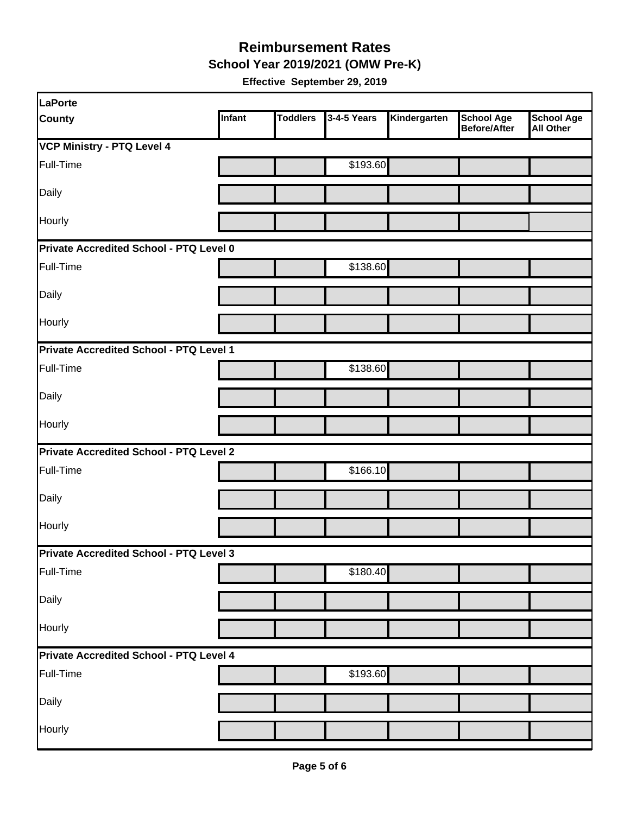**School Year 2019/2021 (OMW Pre-K)** 

| LaPorte                                 |        |                 |             |              |                                   |                                       |  |  |
|-----------------------------------------|--------|-----------------|-------------|--------------|-----------------------------------|---------------------------------------|--|--|
| <b>County</b>                           | Infant | <b>Toddlers</b> | 3-4-5 Years | Kindergarten | <b>School Age</b><br>Before/After | <b>School Age</b><br><b>All Other</b> |  |  |
| <b>VCP Ministry - PTQ Level 4</b>       |        |                 |             |              |                                   |                                       |  |  |
| Full-Time                               |        |                 | \$193.60    |              |                                   |                                       |  |  |
| Daily                                   |        |                 |             |              |                                   |                                       |  |  |
| Hourly                                  |        |                 |             |              |                                   |                                       |  |  |
| Private Accredited School - PTQ Level 0 |        |                 |             |              |                                   |                                       |  |  |
| Full-Time                               |        |                 | \$138.60    |              |                                   |                                       |  |  |
| Daily                                   |        |                 |             |              |                                   |                                       |  |  |
| Hourly                                  |        |                 |             |              |                                   |                                       |  |  |
| Private Accredited School - PTQ Level 1 |        |                 |             |              |                                   |                                       |  |  |
| Full-Time                               |        |                 | \$138.60    |              |                                   |                                       |  |  |
| Daily                                   |        |                 |             |              |                                   |                                       |  |  |
| <b>Hourly</b>                           |        |                 |             |              |                                   |                                       |  |  |
| Private Accredited School - PTQ Level 2 |        |                 |             |              |                                   |                                       |  |  |
| Full-Time                               |        |                 | \$166.10    |              |                                   |                                       |  |  |
| Daily                                   |        |                 |             |              |                                   |                                       |  |  |
| Hourly                                  |        |                 |             |              |                                   |                                       |  |  |
| Private Accredited School - PTQ Level 3 |        |                 |             |              |                                   |                                       |  |  |
| Full-Time                               |        |                 | \$180.40    |              |                                   |                                       |  |  |
| Daily                                   |        |                 |             |              |                                   |                                       |  |  |
| Hourly                                  |        |                 |             |              |                                   |                                       |  |  |
| Private Accredited School - PTQ Level 4 |        |                 |             |              |                                   |                                       |  |  |
| Full-Time                               |        |                 | \$193.60    |              |                                   |                                       |  |  |
| Daily                                   |        |                 |             |              |                                   |                                       |  |  |
| Hourly                                  |        |                 |             |              |                                   |                                       |  |  |